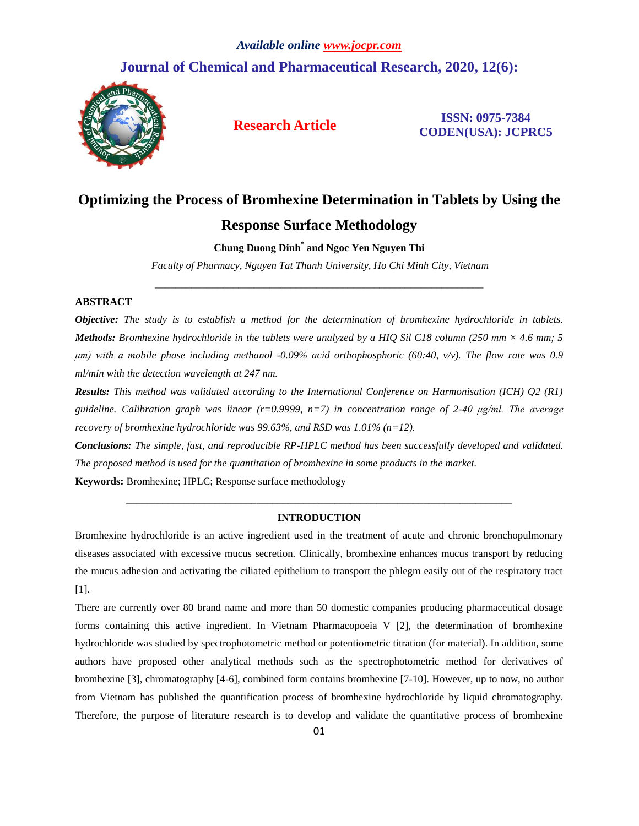# **Journal of Chemical and Pharmaceutical Research, 2020, 12(6):**



**Research Article ISSN: 0975-7384 CODEN(USA): JCPRC5**

# **Optimizing the Process of Bromhexine Determination in Tablets by Using the Response Surface Methodology**

# **Chung Duong Dinh\* and Ngoc Yen Nguyen Thi**

*Faculty of Pharmacy, Nguyen Tat Thanh University, Ho Chi Minh City, Vietnam* \_\_\_\_\_\_\_\_\_\_\_\_\_\_\_\_\_\_\_\_\_\_\_\_\_\_\_\_\_\_\_\_\_\_\_\_\_\_\_\_\_\_\_\_\_\_\_\_\_\_\_\_\_\_\_\_\_\_\_\_\_\_\_

# **ABSTRACT**

*Objective: The study is to establish a method for the determination of bromhexine hydrochloride in tablets. Methods: Bromhexine hydrochloride in the tablets were analyzed by a HIQ Sil C18 column (250 mm × 4.6 mm; 5 μm) with a mobile phase including methanol -0.09% acid orthophosphoric (60:40, v/v). The flow rate was 0.9 ml/min with the detection wavelength at 247 nm.*

*Results: This method was validated according to the International Conference on Harmonisation (ICH) Q2 (R1) guideline. Calibration graph was linear (r=0.9999, n=7) in concentration range of 2-40 μg/ml. The average recovery of bromhexine hydrochloride was 99.63%, and RSD was 1.01% (n=12).*

*Conclusions: The simple, fast, and reproducible RP-HPLC method has been successfully developed and validated. The proposed method is used for the quantitation of bromhexine in some products in the market.*

**Keywords:** Bromhexine; HPLC; Response surface methodology

# *\_\_\_\_\_\_\_\_\_\_\_\_\_\_\_\_\_\_\_\_\_\_\_\_\_\_\_\_\_\_\_\_\_\_\_\_\_\_\_\_\_\_\_\_\_\_\_\_\_\_\_\_\_\_\_\_\_\_\_\_\_\_\_\_\_\_\_\_\_\_\_\_\_\_* **INTRODUCTION**

Bromhexine hydrochloride is an active ingredient used in the treatment of acute and chronic bronchopulmonary diseases associated with excessive mucus secretion. Clinically, bromhexine enhances mucus transport by reducing the mucus adhesion and activating the ciliated epithelium to transport the phlegm easily out of the respiratory tract [1].

There are currently over 80 brand name and more than 50 domestic companies producing pharmaceutical dosage forms containing this active ingredient. In Vietnam Pharmacopoeia V [2], the determination of bromhexine hydrochloride was studied by spectrophotometric method or potentiometric titration (for material). In addition, some authors have proposed other analytical methods such as the spectrophotometric method for derivatives of bromhexine [3], chromatography [4-6], combined form contains bromhexine [7-10]. However, up to now, no author from Vietnam has published the quantification process of bromhexine hydrochloride by liquid chromatography. Therefore, the purpose of literature research is to develop and validate the quantitative process of bromhexine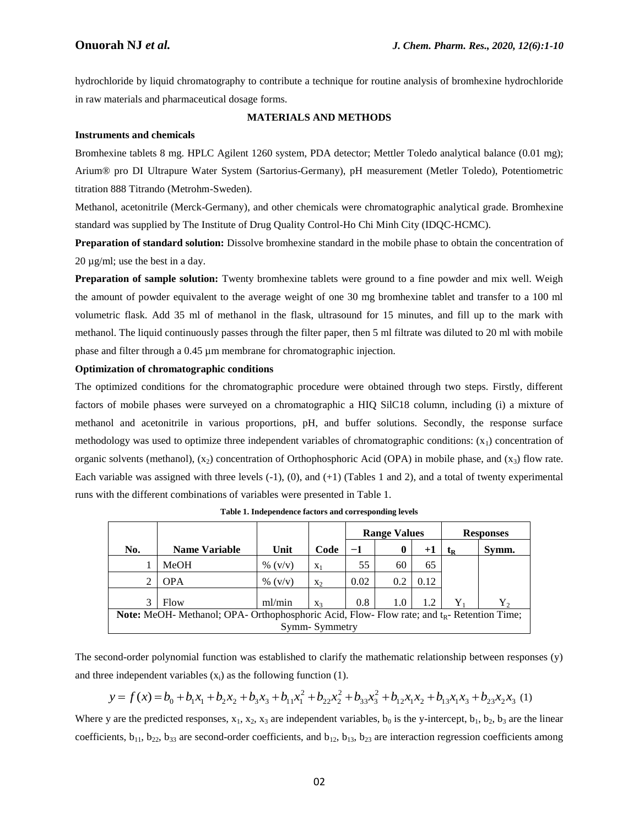hydrochloride by liquid chromatography to contribute a technique for routine analysis of bromhexine hydrochloride in raw materials and pharmaceutical dosage forms.

#### **MATERIALS AND METHODS**

#### **Instruments and chemicals**

Bromhexine tablets 8 mg. HPLC Agilent 1260 system, PDA detector; Mettler Toledo analytical balance (0.01 mg); Arium® pro DI Ultrapure Water System (Sartorius-Germany), pH measurement (Metler Toledo), Potentiometric titration 888 Titrando (Metrohm-Sweden).

Methanol, acetonitrile (Merck-Germany), and other chemicals were chromatographic analytical grade. Bromhexine standard was supplied by The Institute of Drug Quality Control-Ho Chi Minh City (IDQC-HCMC).

**Preparation of standard solution:** Dissolve bromhexine standard in the mobile phase to obtain the concentration of 20 µg/ml; use the best in a day.

**Preparation of sample solution:** Twenty bromhexine tablets were ground to a fine powder and mix well. Weigh the amount of powder equivalent to the average weight of one 30 mg bromhexine tablet and transfer to a 100 ml volumetric flask. Add 35 ml of methanol in the flask, ultrasound for 15 minutes, and fill up to the mark with methanol. The liquid continuously passes through the filter paper, then 5 ml filtrate was diluted to 20 ml with mobile phase and filter through a 0.45 µm membrane for chromatographic injection.

#### **Optimization of chromatographic conditions**

The optimized conditions for the chromatographic procedure were obtained through two steps. Firstly, different factors of mobile phases were surveyed on a chromatographic a HIQ SilC18 column, including (i) a mixture of methanol and acetonitrile in various proportions, pH, and buffer solutions. Secondly, the response surface methodology was used to optimize three independent variables of chromatographic conditions:  $(x_1)$  concentration of organic solvents (methanol),  $(x_2)$  concentration of Orthophosphoric Acid (OPA) in mobile phase, and  $(x_3)$  flow rate. Each variable was assigned with three levels (-1), (0), and (+1) (Tables 1 and 2), and a total of twenty experimental runs with the different combinations of variables were presented in Table 1.

|                                                                                                      |                      |           |       | <b>Range Values</b> |          |        | <b>Responses</b>          |         |
|------------------------------------------------------------------------------------------------------|----------------------|-----------|-------|---------------------|----------|--------|---------------------------|---------|
| No.                                                                                                  | <b>Name Variable</b> | Unit      | Code  | -1                  | $\bf{0}$ | $^{+}$ | $\mathbf{t}_{\mathbf{R}}$ | Symm.   |
|                                                                                                      | MeOH                 | % $(v/v)$ | $X_1$ | 55                  | 60       | 65     |                           |         |
|                                                                                                      | <b>OPA</b>           | % $(v/v)$ | $X_2$ | 0.02                | 0.2      | 0.12   |                           |         |
| 3                                                                                                    | Flow                 | ml/min    | $X_3$ | 0.8                 | 1.0      | 1.2    | Y,                        | $Y_{2}$ |
| <b>Note:</b> MeOH- Methanol; OPA- Orthophosphoric Acid, Flow- Flow rate; and $t_R$ - Retention Time; |                      |           |       |                     |          |        |                           |         |
| Symm-Symmetry                                                                                        |                      |           |       |                     |          |        |                           |         |

The second-order polynomial function was established to clarify the mathematic relationship between responses (y) and three independent variables  $(x_i)$  as the following function (1).

$$
y = f(x) = b_0 + b_1 x_1 + b_2 x_2 + b_3 x_3 + b_{11} x_1^2 + b_{22} x_2^2 + b_{33} x_3^2 + b_{12} x_1 x_2 + b_{13} x_1 x_3 + b_{23} x_2 x_3
$$
 (1)

Where y are the predicted responses,  $x_1$ ,  $x_2$ ,  $x_3$  are independent variables,  $b_0$  is the y-intercept,  $b_1$ ,  $b_2$ ,  $b_3$  are the linear coefficients,  $b_{11}$ ,  $b_{22}$ ,  $b_{33}$  are second-order coefficients, and  $b_{12}$ ,  $b_{13}$ ,  $b_{23}$  are interaction regression coefficients among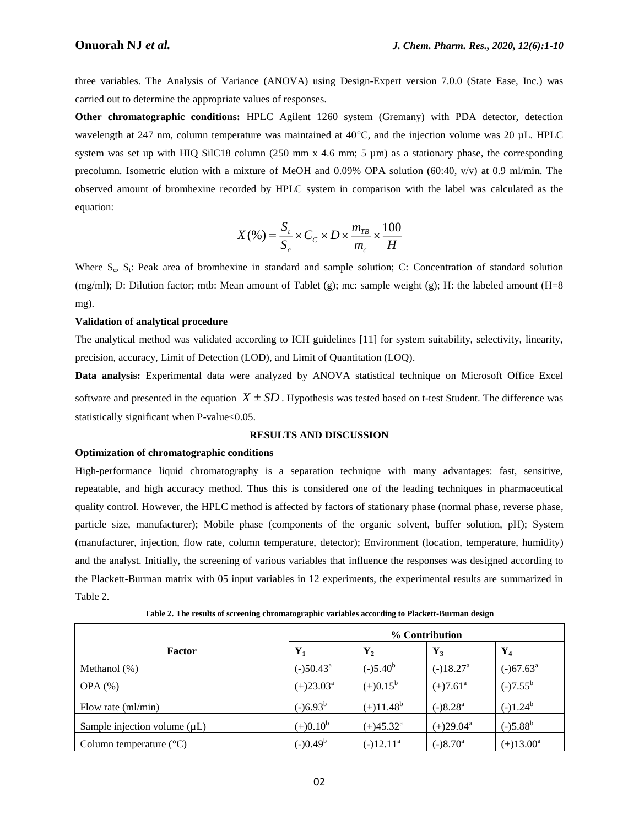three variables. The Analysis of Variance (ANOVA) using Design-Expert version 7.0.0 (State Ease, Inc.) was carried out to determine the appropriate values of responses.

**Other chromatographic conditions:** HPLC Agilent 1260 system (Gremany) with PDA detector, detection wavelength at 247 nm, column temperature was maintained at 40°C, and the injection volume was 20 µL. HPLC system was set up with HIQ SilC18 column (250 mm x 4.6 mm; 5 µm) as a stationary phase, the corresponding precolumn. Isometric elution with a mixture of MeOH and 0.09% OPA solution (60:40, v/v) at 0.9 ml/min. The observed amount of bromhexine recorded by HPLC system in comparison with the label was calculated as the equation:

$$
X(\%) = \frac{S_t}{S_c} \times C_C \times D \times \frac{m_{TB}}{m_c} \times \frac{100}{H}
$$

Where S<sub>c</sub>, S<sub>t</sub>: Peak area of bromhexine in standard and sample solution; C: Concentration of standard solution (mg/ml); D: Dilution factor; mtb: Mean amount of Tablet (g); mc: sample weight (g); H: the labeled amount (H=8 mg).

#### **Validation of analytical procedure**

The analytical method was validated according to ICH guidelines [11] for system suitability, selectivity, linearity, precision, accuracy, Limit of Detection (LOD), and Limit of Quantitation (LOQ).

**Data analysis:** Experimental data were analyzed by ANOVA statistical technique on Microsoft Office Excel software and presented in the equation  $X \pm SD$ . Hypothesis was tested based on t-test Student. The difference was statistically significant when P-value < 0.05.

# **RESULTS AND DISCUSSION**

# **Optimization of chromatographic conditions**

High-performance liquid chromatography is a separation technique with many advantages: fast, sensitive, repeatable, and high accuracy method. Thus this is considered one of the leading techniques in pharmaceutical quality control. However, the HPLC method is affected by factors of stationary phase (normal phase, reverse phase, particle size, manufacturer); Mobile phase (components of the organic solvent, buffer solution, pH); System (manufacturer, injection, flow rate, column temperature, detector); Environment (location, temperature, humidity) and the analyst. Initially, the screening of various variables that influence the responses was designed according to the Plackett-Burman matrix with 05 input variables in 12 experiments, the experimental results are summarized in Table 2.

|                                   | % Contribution        |                    |                         |                |
|-----------------------------------|-----------------------|--------------------|-------------------------|----------------|
| <b>Factor</b>                     | $Y_1$                 | $\mathbf{Y}_2$     | $Y_3$                   | $\mathbf{Y}_4$ |
| Methanol $(\%)$                   | $(-)50.43^a$          | $(-)5.40^b$        | $(-)18.27$ <sup>a</sup> | $(-)67.63^a$   |
| $OPA(\%)$                         | $(+)23.03^{\text{a}}$ | $(+)0.15^b$        | $(+)7.61^{\circ}$       | $(-)7.55^b$    |
| Flow rate (ml/min)                | $(-)6.93^b$           | $(+)11.48^b$       | $(-)8.28a$              | $(-)1.24^b$    |
| Sample injection volume $(\mu L)$ | $(+)0.10^b$           | $(+)45.32^{\rm a}$ | $(+)29.04^{\text{a}}$   | $(-)5.88^{b}$  |
| Column temperature $(^{\circ}C)$  | $(-)0.49^b$           | $(-)12.11^a$       | $(-)8.70^a$             | $(+)13.00^a$   |

**Table 2. The results of screening chromatographic variables according to Plackett-Burman design**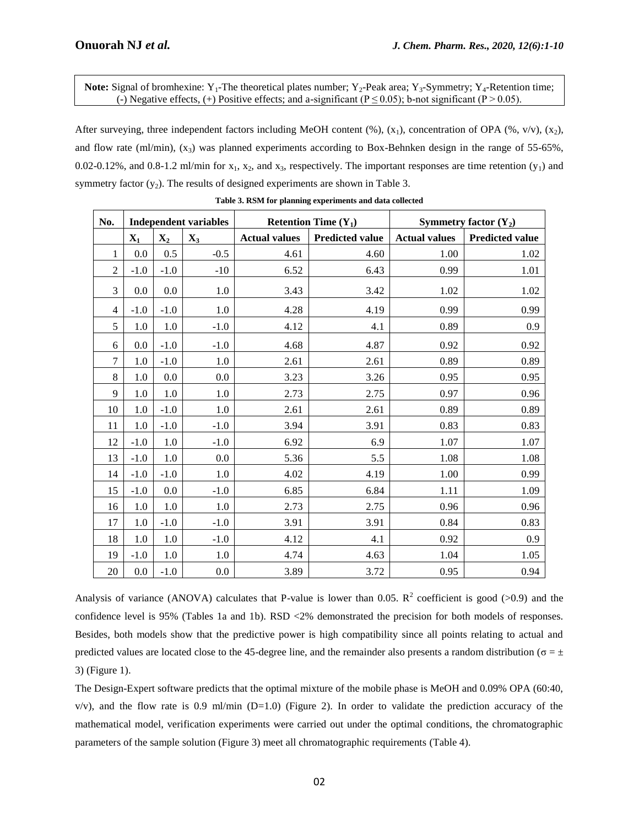**Note:** Signal of bromhexine:  $Y_1$ -The theoretical plates number;  $Y_2$ -Peak area;  $Y_3$ -Symmetry;  $Y_4$ -Retention time; (-) Negative effects, (+) Positive effects; and a-significant ( $P \le 0.05$ ); b-not significant (P > 0.05).

After surveying, three independent factors including MeOH content  $(\%)$ ,  $(x_1)$ , concentration of OPA  $(\%$ , v/v),  $(x_2)$ , and flow rate (ml/min),  $(x_3)$  was planned experiments according to Box-Behnken design in the range of 55-65%, 0.02-0.12%, and 0.8-1.2 ml/min for  $x_1$ ,  $x_2$ , and  $x_3$ , respectively. The important responses are time retention  $(y_1)$  and symmetry factor  $(y_2)$ . The results of designed experiments are shown in Table 3.

| No.            | <b>Independent variables</b> |                |                |                      | <b>Retention Time <math>(Y_1)</math></b> | Symmetry factor $(Y_2)$ |                        |  |
|----------------|------------------------------|----------------|----------------|----------------------|------------------------------------------|-------------------------|------------------------|--|
|                | $\mathbf{X}_1$               | $\mathbf{X}_2$ | $\mathbf{X}_3$ | <b>Actual values</b> | <b>Predicted value</b>                   | <b>Actual values</b>    | <b>Predicted value</b> |  |
| 1              | 0.0                          | 0.5            | $-0.5$         | 4.61                 | 4.60                                     | 1.00                    | 1.02                   |  |
| $\overline{2}$ | $-1.0$                       | $-1.0$         | $-10$          | 6.52                 | 6.43                                     | 0.99                    | 1.01                   |  |
| 3              | 0.0                          | 0.0            | 1.0            | 3.43                 | 3.42                                     | 1.02                    | 1.02                   |  |
| 4              | $-1.0$                       | $-1.0$         | 1.0            | 4.28                 | 4.19                                     | 0.99                    | 0.99                   |  |
| 5              | 1.0                          | 1.0            | $-1.0$         | 4.12                 | 4.1                                      | 0.89                    | 0.9                    |  |
| 6              | 0.0                          | $-1.0$         | $-1.0$         | 4.68                 | 4.87                                     | 0.92                    | 0.92                   |  |
| $\overline{7}$ | 1.0                          | $-1.0$         | 1.0            | 2.61                 | 2.61                                     | 0.89                    | 0.89                   |  |
| 8              | 1.0                          | 0.0            | 0.0            | 3.23                 | 3.26                                     | 0.95                    | 0.95                   |  |
| 9              | 1.0                          | 1.0            | 1.0            | 2.73                 | 2.75                                     | 0.97                    | 0.96                   |  |
| 10             | 1.0                          | $-1.0$         | 1.0            | 2.61                 | 2.61                                     | 0.89                    | 0.89                   |  |
| 11             | 1.0                          | $-1.0$         | $-1.0$         | 3.94                 | 3.91                                     | 0.83                    | 0.83                   |  |
| 12             | $-1.0$                       | 1.0            | $-1.0$         | 6.92                 | 6.9                                      | 1.07                    | 1.07                   |  |
| 13             | $-1.0$                       | 1.0            | 0.0            | 5.36                 | 5.5                                      | 1.08                    | 1.08                   |  |
| 14             | $-1.0$                       | $-1.0$         | 1.0            | 4.02                 | 4.19                                     | 1.00                    | 0.99                   |  |
| 15             | $-1.0$                       | 0.0            | $-1.0$         | 6.85                 | 6.84                                     | 1.11                    | 1.09                   |  |
| 16             | 1.0                          | 1.0            | 1.0            | 2.73                 | 2.75                                     | 0.96                    | 0.96                   |  |
| 17             | 1.0                          | $-1.0$         | $-1.0$         | 3.91                 | 3.91                                     | 0.84                    | 0.83                   |  |
| 18             | 1.0                          | 1.0            | $-1.0$         | 4.12                 | 4.1                                      | 0.92                    | 0.9                    |  |
| 19             | $-1.0$                       | 1.0            | 1.0            | 4.74                 | 4.63                                     | 1.04                    | 1.05                   |  |
| 20             | 0.0                          | $-1.0$         | $0.0\,$        | 3.89                 | 3.72                                     | 0.95                    | 0.94                   |  |

**Table 3. RSM for planning experiments and data collected**

Analysis of variance (ANOVA) calculates that P-value is lower than 0.05.  $R^2$  coefficient is good (>0.9) and the confidence level is 95% (Tables 1a and 1b). RSD <2% demonstrated the precision for both models of responses. Besides, both models show that the predictive power is high compatibility since all points relating to actual and predicted values are located close to the 45-degree line, and the remainder also presents a random distribution ( $\sigma = \pm$ 3) (Figure 1).

The Design-Expert software predicts that the optimal mixture of the mobile phase is MeOH and 0.09% OPA (60:40,  $v/v$ ), and the flow rate is 0.9 ml/min (D=1.0) (Figure 2). In order to validate the prediction accuracy of the mathematical model, verification experiments were carried out under the optimal conditions, the chromatographic parameters of the sample solution (Figure 3) meet all chromatographic requirements (Table 4).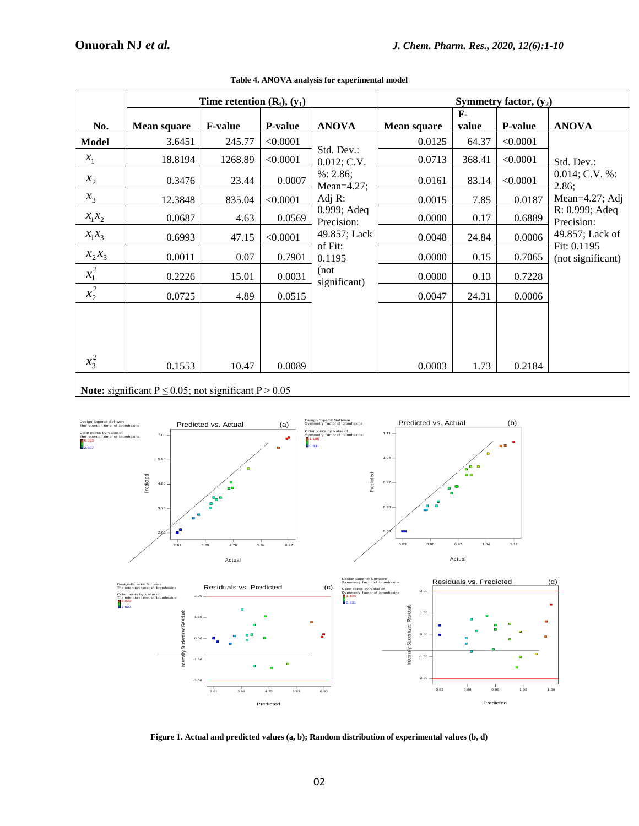Predicted

0.83 0.89 0.96 1.02 1.09

 $\blacksquare$ 

-3.00

|              | Time retention $(R_t)$ , $(y_1)$                               |                |          | Symmetry factor, $(y_2)$     |                    |                       |          |                                  |
|--------------|----------------------------------------------------------------|----------------|----------|------------------------------|--------------------|-----------------------|----------|----------------------------------|
| No.          | <b>Mean square</b>                                             | <b>F-value</b> | P-value  | <b>ANOVA</b>                 | <b>Mean square</b> | $\mathbf{F}$<br>value | P-value  | <b>ANOVA</b>                     |
| <b>Model</b> | 3.6451                                                         | 245.77         | < 0.0001 |                              | 0.0125             | 64.37                 | < 0.0001 |                                  |
| $x_{1}$      | 18.8194                                                        | 1268.89        | < 0.0001 | Std. Dev.:<br>0.012; C.V.    | 0.0713             | 368.41                | < 0.0001 | Std. Dev.:                       |
| $x_{2}$      | 0.3476                                                         | 23.44          | 0.0007   | %: 2.86;<br>Mean= $4.27$ ;   | 0.0161             | 83.14                 | < 0.0001 | 0.014; C.V. %:<br>2.86;          |
| $x_3$        | 12.3848                                                        | 835.04         | < 0.0001 | Adj $R$ :                    | 0.0015             | 7.85                  | 0.0187   | Mean=4.27; Adj                   |
| $x_1x_2$     | 0.0687                                                         | 4.63           | 0.0569   | $0.999$ ; Adeq<br>Precision: | 0.0000             | 0.17                  | 0.6889   | R: 0.999; Adeq<br>Precision:     |
| $x_1x_3$     | 0.6993                                                         | 47.15          | < 0.0001 | 49.857; Lack                 | 0.0048             | 24.84                 | 0.0006   | 49.857; Lack of                  |
| $x_2x_3$     | 0.0011                                                         | 0.07           | 0.7901   | of Fit:<br>0.1195            | 0.0000             | 0.15                  | 0.7065   | Fit: 0.1195<br>(not significant) |
| $x_1^2$      | 0.2226                                                         | 15.01          | 0.0031   | (not<br>significant)         | 0.0000             | 0.13                  | 0.7228   |                                  |
| $x_2^2$      | 0.0725                                                         | 4.89           | 0.0515   |                              | 0.0047             | 24.31                 | 0.0006   |                                  |
| $x_3^2$      | 0.1553                                                         | 10.47          | 0.0089   |                              | 0.0003             | 1.73                  | 0.2184   |                                  |
|              | <b>Note:</b> significant $P < 0.05$ not significant $P > 0.05$ |                |          |                              |                    |                       |          |                                  |

|  | Table 4. ANOVA analysis for experimental model |
|--|------------------------------------------------|
|  |                                                |

**Note:** significant  $P \le 0.05$ ; not significant  $P > 0.05$ 





Predicted

2.61 3.68 4.75 5.83 6.90

ċ

ċ

-3.00

-1.50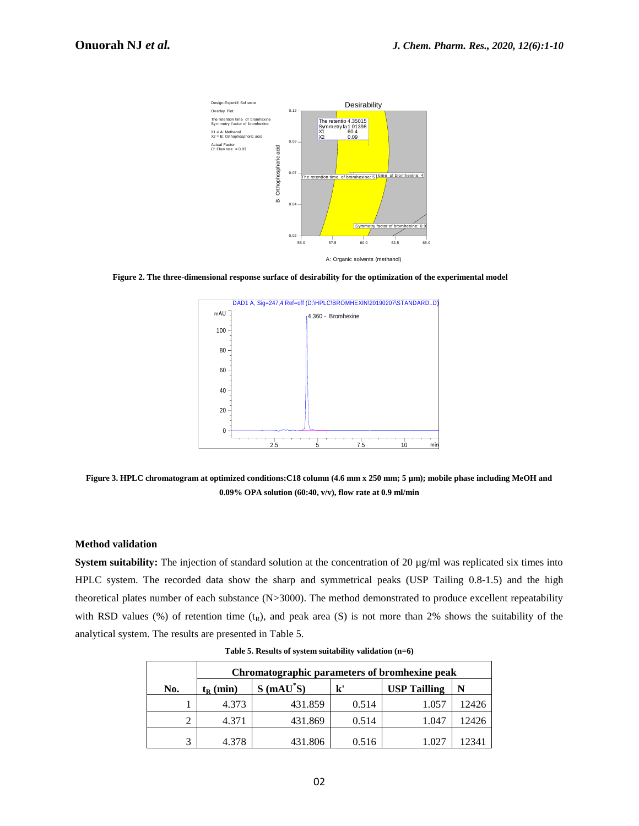

**Figure 2. The three-dimensional response surface of desirability for the optimization of the experimental model**



**Figure 3. HPLC chromatogram at optimized conditions:C18 column (4.6 mm x 250 mm; 5 µm); mobile phase including MeOH and 0.09% OPA solution (60:40, v/v), flow rate at 0.9 ml/min**

#### **Method validation**

**System suitability:** The injection of standard solution at the concentration of 20 µg/ml was replicated six times into HPLC system. The recorded data show the sharp and symmetrical peaks (USP Tailing 0.8-1.5) and the high theoretical plates number of each substance (N>3000). The method demonstrated to produce excellent repeatability with RSD values (%) of retention time  $(t_R)$ , and peak area (S) is not more than 2% shows the suitability of the analytical system. The results are presented in Table 5.

|     | Chromatographic parameters of bromhexine peak |            |               |                     |       |  |
|-----|-----------------------------------------------|------------|---------------|---------------------|-------|--|
| No. | $t_{R}$ (min)                                 | $S(mAU*S)$ | $\mathbf{k}'$ | <b>USP Tailling</b> | N     |  |
|     | 4.373                                         | 431.859    | 0.514         | 1.057               | 12426 |  |
|     | 4.371                                         | 431.869    | 0.514         | 1.047               | 12426 |  |
| 3   | 4.378                                         | 431.806    | 0.516         | 027                 | 12341 |  |

**Table 5. Results of system suitability validation (n=6)**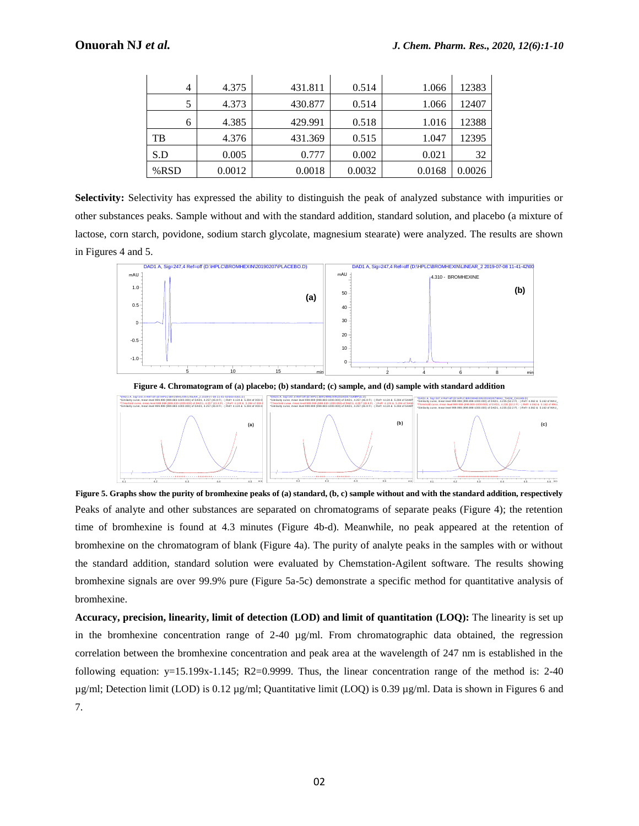| $\overline{4}$ | 4.375  | 431.811 | 0.514  | 1.066  | 12383  |
|----------------|--------|---------|--------|--------|--------|
|                | 4.373  | 430.877 | 0.514  | 1.066  | 12407  |
| 6              | 4.385  | 429.991 | 0.518  | 1.016  | 12388  |
| TB             | 4.376  | 431.369 | 0.515  | 1.047  | 12395  |
| S.D            | 0.005  | 0.777   | 0.002  | 0.021  | 32     |
| %RSD           | 0.0012 | 0.0018  | 0.0032 | 0.0168 | 0.0026 |

**Selectivity:** Selectivity has expressed the ability to distinguish the peak of analyzed substance with impurities or other substances peaks. Sample without and with the standard addition, standard solution, and placebo (a mixture of lactose, corn starch, povidone, sodium starch glycolate, magnesium stearate) were analyzed. The results are shown in Figures 4 and 5.



**Figure 4. Chromatogram of (a) placebo; (b) standard; (c) sample, and (d) sample with standard addition**



**Figure 5. Graphs show the purity of bromhexine peaks of (a) standard, (b, c) sample without and with the standard addition, respectively** Peaks of analyte and other substances are separated on chromatograms of separate peaks (Figure 4); the retention time of bromhexine is found at 4.3 minutes (Figure 4b-d). Meanwhile, no peak appeared at the retention of bromhexine on the chromatogram of blank (Figure 4a). The purity of analyte peaks in the samples with or without the standard addition, standard solution were evaluated by Chemstation-Agilent software. The results showing bromhexine signals are over 99.9% pure (Figure 5a-5c) demonstrate a specific method for quantitative analysis of bromhexine.

**Accuracy, precision, linearity, limit of detection (LOD) and limit of quantitation (LOQ):** The linearity is set up in the bromhexine concentration range of 2-40  $\mu$ g/ml. From chromatographic data obtained, the regression correlation between the bromhexine concentration and peak area at the wavelength of 247 nm is established in the following equation:  $y=15.199x-1.145$ ; R2=0.9999. Thus, the linear concentration range of the method is: 2-40 µg/ml; Detection limit (LOD) is 0.12 µg/ml; Quantitative limit (LOQ) is 0.39 µg/ml. Data is shown in Figures 6 and 7.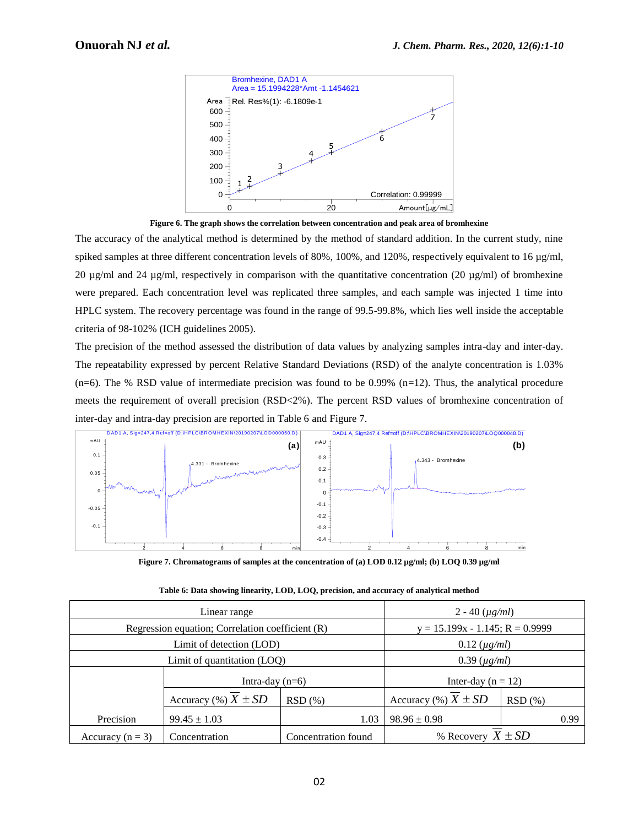

**Figure 6. The graph shows the correlation between concentration and peak area of bromhexine**

The accuracy of the analytical method is determined by the method of standard addition. In the current study, nine spiked samples at three different concentration levels of 80%, 100%, and 120%, respectively equivalent to 16 µg/ml, 20  $\mu$ g/ml and 24  $\mu$ g/ml, respectively in comparison with the quantitative concentration (20  $\mu$ g/ml) of bromhexine were prepared. Each concentration level was replicated three samples, and each sample was injected 1 time into HPLC system. The recovery percentage was found in the range of 99.5-99.8%, which lies well inside the acceptable criteria of 98-102% (ICH guidelines 2005).

The precision of the method assessed the distribution of data values by analyzing samples intra-day and inter-day. The repeatability expressed by percent Relative Standard Deviations (RSD) of the analyte concentration is 1.03%  $(n=6)$ . The % RSD value of intermediate precision was found to be 0.99%  $(n=12)$ . Thus, the analytical procedure meets the requirement of overall precision (RSD<2%). The percent RSD values of bromhexine concentration of inter-day and intra-day precision are reported in Table 6 and Figure 7.



**Figure 7. Chromatograms of samples at the concentration of (a) LOD 0.12 µg/ml; (b) LOQ 0.39 µg/ml** 

|                      | Linear range                                       | 2 - 40 $(\mu g/ml)$                   |                        |        |      |  |  |
|----------------------|----------------------------------------------------|---------------------------------------|------------------------|--------|------|--|--|
|                      | Regression equation; Correlation coefficient $(R)$ | $y = 15.199x - 1.145$ ; R = 0.9999    |                        |        |      |  |  |
|                      | Limit of detection (LOD)                           | $0.12 \ (\mu g/ml)$                   |                        |        |      |  |  |
|                      | Limit of quantitation (LOQ)                        | $0.39 \ (\mu g/ml)$                   |                        |        |      |  |  |
|                      | Intra-day $(n=6)$                                  |                                       | Inter-day ( $n = 12$ ) |        |      |  |  |
|                      | Accuracy (%) $X \pm SD$                            | Accuracy $(\%) X \pm SD$<br>$RSD(\%)$ |                        | RSD(%) |      |  |  |
| Precision            | $99.45 \pm 1.03$<br>1.03                           |                                       | $98.96 \pm 0.98$       |        | 0.99 |  |  |
| Accuracy ( $n = 3$ ) | Concentration found<br>Concentration               |                                       | % Recovery $X \pm SD$  |        |      |  |  |

**Table 6: Data showing linearity, LOD, LOQ, precision, and accuracy of analytical method**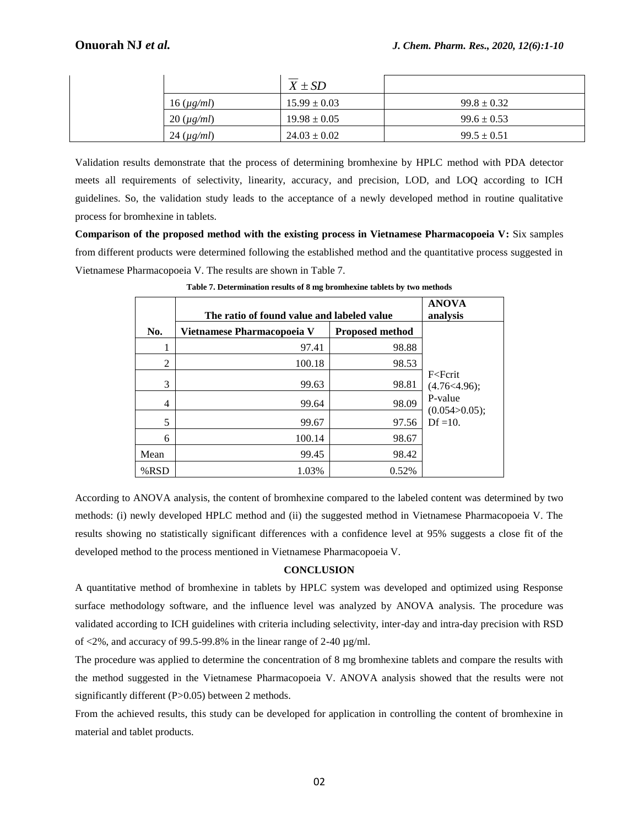|                              | $X \pm SD$       |                 |
|------------------------------|------------------|-----------------|
| $16 \left( \mu g/ml \right)$ | $15.99 \pm 0.03$ | $99.8 \pm 0.32$ |
| $20 \, (\mu g/ml)$           | $19.98 \pm 0.05$ | $99.6 \pm 0.53$ |
| $24 \, (\mu g/ml)$           | $24.03 \pm 0.02$ | $99.5 \pm 0.51$ |

Validation results demonstrate that the process of determining bromhexine by HPLC method with PDA detector meets all requirements of selectivity, linearity, accuracy, and precision, LOD, and LOQ according to ICH guidelines. So, the validation study leads to the acceptance of a newly developed method in routine qualitative process for bromhexine in tablets.

Comparison of the proposed method with the existing process in Vietnamese Pharmacopoeia V: Six samples from different products were determined following the established method and the quantitative process suggested in Vietnamese Pharmacopoeia V. The results are shown in Table 7.

|                         |                                                                                                                                                                                                                                                                                                                                                                                                                                                                                                                                                                                                                                                                                                                                                                                                                                                                                                                                                                                                     | $X \pm SD$                        |                        |                                  |                                                                                 |
|-------------------------|-----------------------------------------------------------------------------------------------------------------------------------------------------------------------------------------------------------------------------------------------------------------------------------------------------------------------------------------------------------------------------------------------------------------------------------------------------------------------------------------------------------------------------------------------------------------------------------------------------------------------------------------------------------------------------------------------------------------------------------------------------------------------------------------------------------------------------------------------------------------------------------------------------------------------------------------------------------------------------------------------------|-----------------------------------|------------------------|----------------------------------|---------------------------------------------------------------------------------|
|                         | $16 \, (\mu g/ml)$                                                                                                                                                                                                                                                                                                                                                                                                                                                                                                                                                                                                                                                                                                                                                                                                                                                                                                                                                                                  | $15.99 \pm 0.03$                  |                        |                                  | $99.8 \pm 0.3$                                                                  |
|                         | $20 \, (\mu g/ml)$                                                                                                                                                                                                                                                                                                                                                                                                                                                                                                                                                                                                                                                                                                                                                                                                                                                                                                                                                                                  | $19.98 \pm 0.05$                  |                        |                                  | $99.6 \pm 0.5$                                                                  |
|                         | $24 \left(\mu g/ml\right)$                                                                                                                                                                                                                                                                                                                                                                                                                                                                                                                                                                                                                                                                                                                                                                                                                                                                                                                                                                          | $24.03 \pm 0.02$                  |                        |                                  | $99.5 \pm 0.5$                                                                  |
| No.<br>1<br>2<br>3<br>4 | sults demonstrate that the process of determining bromhexine by HPLC method with<br>quirements of selectivity, linearity, accuracy, and precision, LOD, and LOQ accord<br>b, the validation study leads to the acceptance of a newly developed method in routing<br>omhexine in tablets.<br>of the proposed method with the existing process in Vietnamese Pharmacopoeia V<br>products were determined following the established method and the quantitative proces<br>harmacopoeia V. The results are shown in Table 7.<br>Table 7. Determination results of 8 mg bromhexine tablets by two methods<br>The ratio of found value and labeled value<br>Vietnamese Pharmacopoeia V                                                                                                                                                                                                                                                                                                                    | 97.41<br>100.18<br>99.63<br>99.64 | <b>Proposed method</b> | 98.88<br>98.53<br>98.81<br>98.09 | <b>ANOVA</b><br>analysis<br>F <fcrit<br>(4.76&lt; 4.96);<br/>P-value</fcrit<br> |
| 5                       |                                                                                                                                                                                                                                                                                                                                                                                                                                                                                                                                                                                                                                                                                                                                                                                                                                                                                                                                                                                                     | 99.67                             |                        |                                  | (0.054 > 0.05);<br>$Df = 10$ .                                                  |
| 6                       |                                                                                                                                                                                                                                                                                                                                                                                                                                                                                                                                                                                                                                                                                                                                                                                                                                                                                                                                                                                                     | 100.14                            |                        | 97.56<br>98.67                   |                                                                                 |
| Mean                    |                                                                                                                                                                                                                                                                                                                                                                                                                                                                                                                                                                                                                                                                                                                                                                                                                                                                                                                                                                                                     | 99.45                             |                        | 98.42                            |                                                                                 |
| %RSD                    |                                                                                                                                                                                                                                                                                                                                                                                                                                                                                                                                                                                                                                                                                                                                                                                                                                                                                                                                                                                                     | 1.03%                             |                        | 0.52%                            |                                                                                 |
|                         | ANOVA analysis, the content of bromhexine compared to the labeled content was deter<br>lewly developed HPLC method and (ii) the suggested method in Vietnamese Pharmaco<br>in 195% in statistically significant differences with a confidence level at 95% suggests a c<br>thod to the process mentioned in Vietnamese Pharmacopoeia V.<br>e method of bromhexine in tablets by HPLC system was developed and optimized us<br>odology software, and the influence level was analyzed by ANOVA analysis. The p<br>ording to ICH guidelines with criteria including selectivity, inter-day and intra-day precis<br>ccuracy of 99.5-99.8% in the linear range of 2-40 $\mu$ g/ml.<br>e was applied to determine the concentration of 8 mg bromhexine tablets and compare the<br>uggested in the Vietnamese Pharmacopoeia V. ANOVA analysis showed that the res<br>lifferent $(P>0.05)$ between 2 methods.<br>eved results, this study can be developed for application in controlling the content of b | <b>CONCLUSION</b>                 |                        |                                  |                                                                                 |
| ablet products.         |                                                                                                                                                                                                                                                                                                                                                                                                                                                                                                                                                                                                                                                                                                                                                                                                                                                                                                                                                                                                     | 02                                |                        |                                  |                                                                                 |
|                         |                                                                                                                                                                                                                                                                                                                                                                                                                                                                                                                                                                                                                                                                                                                                                                                                                                                                                                                                                                                                     |                                   |                        |                                  |                                                                                 |

**Table 7. Determination results of 8 mg bromhexine tablets by two methods**

According to ANOVA analysis, the content of bromhexine compared to the labeled content was determined by two methods: (i) newly developed HPLC method and (ii) the suggested method in Vietnamese Pharmacopoeia V. The results showing no statistically significant differences with a confidence level at 95% suggests a close fit of the developed method to the process mentioned in Vietnamese Pharmacopoeia V.

## **CONCLUSION**

A quantitative method of bromhexine in tablets by HPLC system was developed and optimized using Response surface methodology software, and the influence level was analyzed by ANOVA analysis. The procedure was validated according to ICH guidelines with criteria including selectivity, inter-day and intra-day precision with RSD of  $\langle 2\%,$  and accuracy of 99.5-99.8% in the linear range of 2-40  $\mu$ g/ml.

The procedure was applied to determine the concentration of 8 mg bromhexine tablets and compare the results with the method suggested in the Vietnamese Pharmacopoeia V. ANOVA analysis showed that the results were not significantly different (P>0.05) between 2 methods.

From the achieved results, this study can be developed for application in controlling the content of bromhexine in material and tablet products.